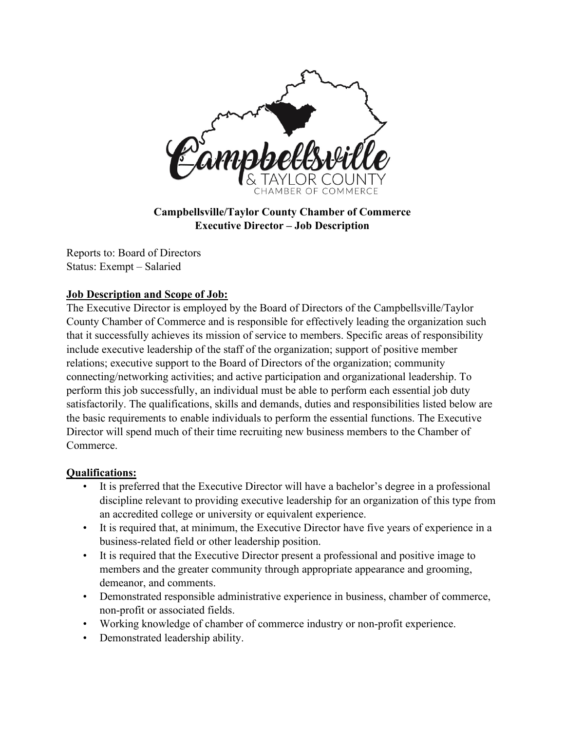

**Campbellsville/Taylor County Chamber of Commerce Executive Director – Job Description**

Reports to: Board of Directors Status: Exempt – Salaried

## **Job Description and Scope of Job:**

The Executive Director is employed by the Board of Directors of the Campbellsville/Taylor County Chamber of Commerce and is responsible for effectively leading the organization such that it successfully achieves its mission of service to members. Specific areas of responsibility include executive leadership of the staff of the organization; support of positive member relations; executive support to the Board of Directors of the organization; community connecting/networking activities; and active participation and organizational leadership. To perform this job successfully, an individual must be able to perform each essential job duty satisfactorily. The qualifications, skills and demands, duties and responsibilities listed below are the basic requirements to enable individuals to perform the essential functions. The Executive Director will spend much of their time recruiting new business members to the Chamber of Commerce.

## **Qualifications:**

- It is preferred that the Executive Director will have a bachelor's degree in a professional discipline relevant to providing executive leadership for an organization of this type from an accredited college or university or equivalent experience.
- It is required that, at minimum, the Executive Director have five years of experience in a business-related field or other leadership position.
- It is required that the Executive Director present a professional and positive image to members and the greater community through appropriate appearance and grooming, demeanor, and comments.
- Demonstrated responsible administrative experience in business, chamber of commerce, non-profit or associated fields.
- Working knowledge of chamber of commerce industry or non-profit experience.
- Demonstrated leadership ability.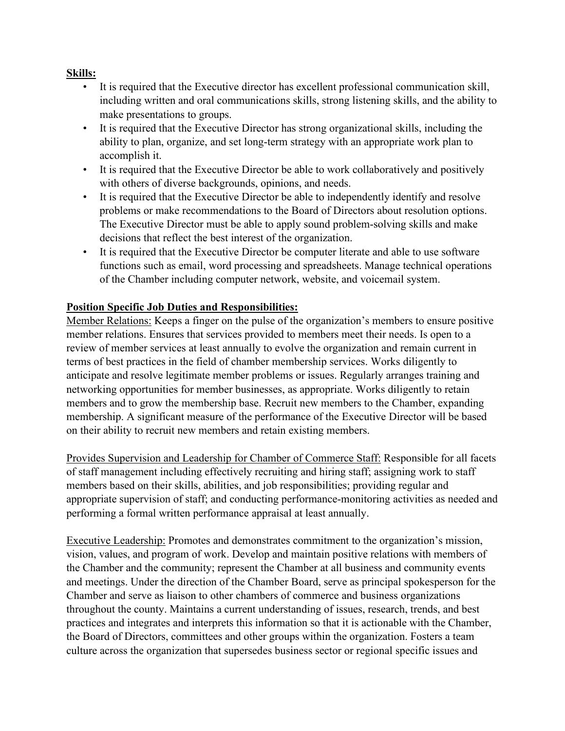## **Skills:**

- It is required that the Executive director has excellent professional communication skill, including written and oral communications skills, strong listening skills, and the ability to make presentations to groups.
- It is required that the Executive Director has strong organizational skills, including the ability to plan, organize, and set long-term strategy with an appropriate work plan to accomplish it.
- It is required that the Executive Director be able to work collaboratively and positively with others of diverse backgrounds, opinions, and needs.
- It is required that the Executive Director be able to independently identify and resolve problems or make recommendations to the Board of Directors about resolution options. The Executive Director must be able to apply sound problem-solving skills and make decisions that reflect the best interest of the organization.
- It is required that the Executive Director be computer literate and able to use software functions such as email, word processing and spreadsheets. Manage technical operations of the Chamber including computer network, website, and voicemail system.

## **Position Specific Job Duties and Responsibilities:**

Member Relations: Keeps a finger on the pulse of the organization's members to ensure positive member relations. Ensures that services provided to members meet their needs. Is open to a review of member services at least annually to evolve the organization and remain current in terms of best practices in the field of chamber membership services. Works diligently to anticipate and resolve legitimate member problems or issues. Regularly arranges training and networking opportunities for member businesses, as appropriate. Works diligently to retain members and to grow the membership base. Recruit new members to the Chamber, expanding membership. A significant measure of the performance of the Executive Director will be based on their ability to recruit new members and retain existing members.

Provides Supervision and Leadership for Chamber of Commerce Staff: Responsible for all facets of staff management including effectively recruiting and hiring staff; assigning work to staff members based on their skills, abilities, and job responsibilities; providing regular and appropriate supervision of staff; and conducting performance-monitoring activities as needed and performing a formal written performance appraisal at least annually.

Executive Leadership: Promotes and demonstrates commitment to the organization's mission, vision, values, and program of work. Develop and maintain positive relations with members of the Chamber and the community; represent the Chamber at all business and community events and meetings. Under the direction of the Chamber Board, serve as principal spokesperson for the Chamber and serve as liaison to other chambers of commerce and business organizations throughout the county. Maintains a current understanding of issues, research, trends, and best practices and integrates and interprets this information so that it is actionable with the Chamber, the Board of Directors, committees and other groups within the organization. Fosters a team culture across the organization that supersedes business sector or regional specific issues and